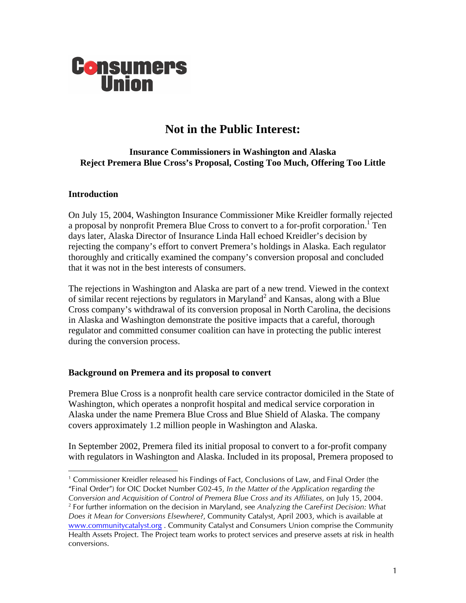

# **Not in the Public Interest:**

## **Insurance Commissioners in Washington and Alaska Reject Premera Blue Cross's Proposal, Costing Too Much, Offering Too Little**

#### **Introduction**

On July 15, 2004, Washington Insurance Commissioner Mike Kreidler formally rejected a proposal by nonprofit Premera Blue Cross to convert to a for-profit corporation.<sup>1</sup> Ten days later, Alaska Director of Insurance Linda Hall echoed Kreidler's decision by rejecting the company's effort to convert Premera's holdings in Alaska. Each regulator thoroughly and critically examined the company's conversion proposal and concluded that it was not in the best interests of consumers.

The rejections in Washington and Alaska are part of a new trend. Viewed in the context of similar recent rejections by regulators in Maryland<sup>2</sup> and Kansas, along with a Blue Cross company's withdrawal of its conversion proposal in North Carolina, the decisions in Alaska and Washington demonstrate the positive impacts that a careful, thorough regulator and committed consumer coalition can have in protecting the public interest during the conversion process.

#### **Background on Premera and its proposal to convert**

Premera Blue Cross is a nonprofit health care service contractor domiciled in the State of Washington, which operates a nonprofit hospital and medical service corporation in Alaska under the name Premera Blue Cross and Blue Shield of Alaska. The company covers approximately 1.2 million people in Washington and Alaska.

In September 2002, Premera filed its initial proposal to convert to a for-profit company with regulators in Washington and Alaska. Included in its proposal, Premera proposed to

<span id="page-0-0"></span> $\frac{1}{1}$ <sup>1</sup> Commissioner Kreidler released his Findings of Fact, Conclusions of Law, and Final Order (the "Final Order") for OIC Docket Number G02-45, *In the Matter of the Application regarding the Conversion and Acquisition of Control of Premera Blue Cross and its Affiliates,* on July 15, 2004. 2

<span id="page-0-1"></span>For further information on the decision in Maryland, see *Analyzing the CareFirst Decision: What Does it Mean for Conversions Elsewhere?*, Community Catalyst, April 2003, which is available at [www.communitycatalyst.org](http://www.communitycatalyst.org/) . Community Catalyst and Consumers Union comprise the Community Health Assets Project. The Project team works to protect services and preserve assets at risk in health conversions.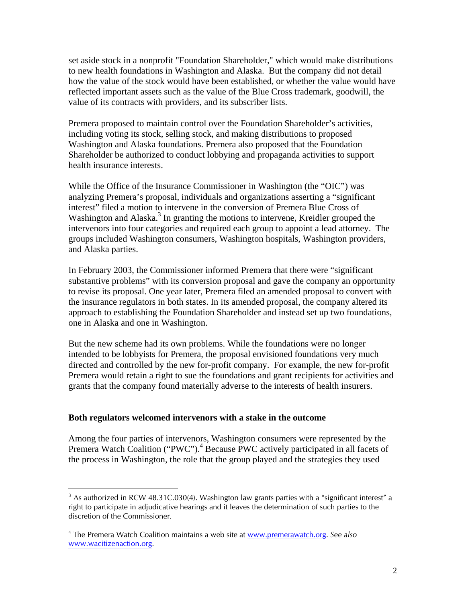set aside stock in a nonprofit "Foundation Shareholder," which would make distributions to new health foundations in Washington and Alaska. But the company did not detail how the value of the stock would have been established, or whether the value would have reflected important assets such as the value of the Blue Cross trademark, goodwill, the value of its contracts with providers, and its subscriber lists.

Premera proposed to maintain control over the Foundation Shareholder's activities, including voting its stock, selling stock, and making distributions to proposed Washington and Alaska foundations. Premera also proposed that the Foundation Shareholder be authorized to conduct lobbying and propaganda activities to support health insurance interests.

While the Office of the Insurance Commissioner in Washington (the "OIC") was analyzing Premera's proposal, individuals and organizations asserting a "significant interest" filed a motion to intervene in the conversion of Premera Blue Cross of Washington and Alaska.<sup>[3](#page-1-0)</sup> In granting the motions to intervene, Kreidler grouped the intervenors into four categories and required each group to appoint a lead attorney. The groups included Washington consumers, Washington hospitals, Washington providers, and Alaska parties.

In February 2003, the Commissioner informed Premera that there were "significant substantive problems" with its conversion proposal and gave the company an opportunity to revise its proposal. One year later, Premera filed an amended proposal to convert with the insurance regulators in both states. In its amended proposal, the company altered its approach to establishing the Foundation Shareholder and instead set up two foundations, one in Alaska and one in Washington.

But the new scheme had its own problems. While the foundations were no longer intended to be lobbyists for Premera, the proposal envisioned foundations very much directed and controlled by the new for-profit company. For example, the new for-profit Premera would retain a right to sue the foundations and grant recipients for activities and grants that the company found materially adverse to the interests of health insurers.

#### **Both regulators welcomed intervenors with a stake in the outcome**

Among the four parties of intervenors, Washington consumers were represented by the Premera Watch Coalition ("PWC").<sup>[4](#page-1-1)</sup> Because PWC actively participated in all facets of the process in Washington, the role that the group played and the strategies they used

<span id="page-1-0"></span> $3$  As authorized in RCW 48.31C.030(4). Washington law grants parties with a "significant interest" a right to participate in adjudicative hearings and it leaves the determination of such parties to the discretion of the Commissioner.

<span id="page-1-1"></span><sup>4</sup> The Premera Watch Coalition maintains a web site at [www.premerawatch.org.](http://www.premerawatch.org/) *See also*  [www.wacitizenaction.org.](http://www.wacitizenaction.org/)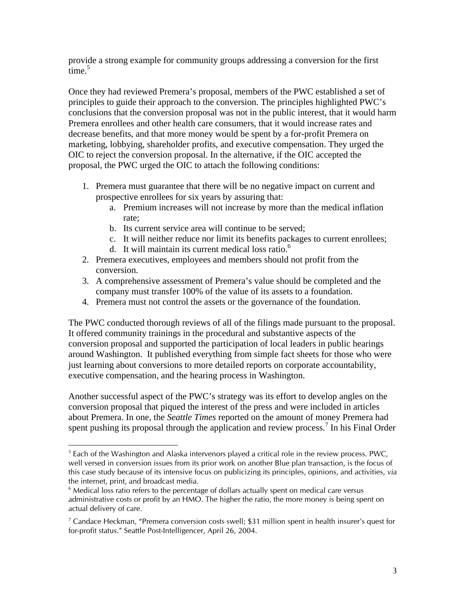provide a strong example for community groups addressing a conversion for the first time. $5$ 

Once they had reviewed Premera's proposal, members of the PWC established a set of principles to guide their approach to the conversion. The principles highlighted PWC's conclusions that the conversion proposal was not in the public interest, that it would harm Premera enrollees and other health care consumers, that it would increase rates and decrease benefits, and that more money would be spent by a for-profit Premera on marketing, lobbying, shareholder profits, and executive compensation. They urged the OIC to reject the conversion proposal. In the alternative, if the OIC accepted the proposal, the PWC urged the OIC to attach the following conditions:

- 1. Premera must guarantee that there will be no negative impact on current and prospective enrollees for six years by assuring that:
	- a. Premium increases will not increase by more than the medical inflation rate;
	- b. Its current service area will continue to be served;
	- c. It will neither reduce nor limit its benefits packages to current enrollees;
	- d. It will maintain its current medical loss ratio. $6$
- 2. Premera executives, employees and members should not profit from the conversion.
- 3. A comprehensive assessment of Premera's value should be completed and the company must transfer 100% of the value of its assets to a foundation.
- 4. Premera must not control the assets or the governance of the foundation.

The PWC conducted thorough reviews of all of the filings made pursuant to the proposal. It offered community trainings in the procedural and substantive aspects of the conversion proposal and supported the participation of local leaders in public hearings around Washington. It published everything from simple fact sheets for those who were just learning about conversions to more detailed reports on corporate accountability, executive compensation, and the hearing process in Washington.

Another successful aspect of the PWC's strategy was its effort to develop angles on the conversion proposal that piqued the interest of the press and were included in articles about Premera. In one, the *Seattle Times* reported on the amount of money Premera had spent pushing its proposal through the application and review process.<sup>7</sup> In his Final Order

<span id="page-2-0"></span><sup>|&</sup>lt;br>5  $5$  Each of the Washington and Alaska intervenors played a critical role in the review process. PWC, well versed in conversion issues from its prior work on another Blue plan transaction, is the focus of this case study because of its intensive focus on publicizing its principles, opinions, and activities, *via* the internet, print, and broadcast media.

<span id="page-2-1"></span> $6$  Medical loss ratio refers to the percentage of dollars actually spent on medical care versus administrative costs or profit by an HMO. The higher the ratio, the more money is being spent on actual delivery of care.

<span id="page-2-2"></span><sup>&</sup>lt;sup>7</sup> Candace Heckman, "Premera conversion costs swell; \$31 million spent in health insurer's quest for for-profit status." Seattle Post-Intelligencer, April 26, 2004.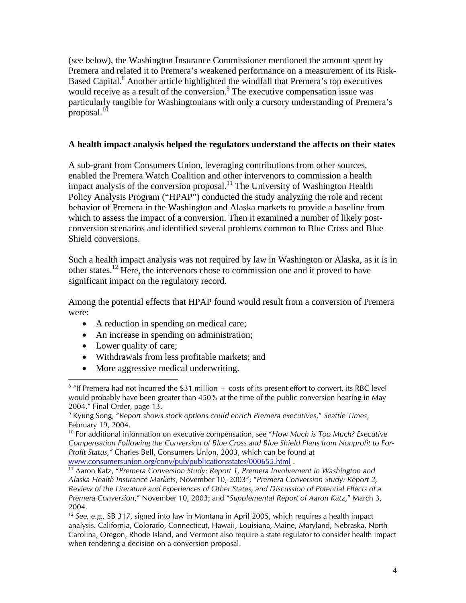(see below), the Washington Insurance Commissioner mentioned the amount spent by Premera and related it to Premera's weakened performance on a measurement of its Risk-Based Capital.<sup>8</sup> Another article highlighted the windfall that Premera's top executives would receive as a result of the conversion.<sup>9</sup> The executive compensation issue was particularly tangible for Washingtonians with only a cursory understanding of Premera's proposal. $10$ 

## **A health impact analysis helped the regulators understand the affects on their states**

A sub-grant from Consumers Union, leveraging contributions from other sources, enabled the Premera Watch Coalition and other intervenors to commission a health impact analysis of the conversion proposal.<sup>11</sup> The University of Washington Health Policy Analysis Program ("HPAP") conducted the study analyzing the role and recent behavior of Premera in the Washington and Alaska markets to provide a baseline from which to assess the impact of a conversion. Then it examined a number of likely postconversion scenarios and identified several problems common to Blue Cross and Blue Shield conversions.

Such a health impact analysis was not required by law in Washington or Alaska, as it is in other states[.12](#page-3-4) Here, the intervenors chose to commission one and it proved to have significant impact on the regulatory record.

Among the potential effects that HPAP found would result from a conversion of Premera were:

- A reduction in spending on medical care;
- An increase in spending on administration;
- Lower quality of care;
- Withdrawals from less profitable markets; and
- More aggressive medical underwriting.

<span id="page-3-0"></span> $\frac{1}{8}$  $8$  "If Premera had not incurred the \$31 million  $+$  costs of its present effort to convert, its RBC level would probably have been greater than 450% at the time of the public conversion hearing in May  $2004."$  Final Order, page 13.

<span id="page-3-1"></span>Kyung Song, "*Report shows stock options could enrich Premera executives*," *Seattle Times*, February 19, 2004.

<span id="page-3-2"></span><sup>10</sup> For additional information on executive compensation, see "*How Much is Too Much? Executive Compensation Following the Conversion of Blue Cross and Blue Shield Plans from Nonprofit to For-Profit Status,"* Charles Bell, Consumers Union, 2003, which can be found at

<span id="page-3-3"></span>[www.consumersunion.org/conv/pub/publicationsstates/000655.html](http://www.consumersunion.org/conv/pub/publicationsstates/000655.html) . 11 Aaron Katz, "*Premera Conversion Study: Report 1, Premera Involvement in Washington and Alaska Health Insurance Markets*, November 10, 2003"; "*Premera Conversion Study: Report 2, Review of the Literature and Experiences of Other States, and Discussion of Potential Effects of a Premera Conversion*," November 10, 2003; and "*Supplemental Report of Aaron Katz*," March 3, 2004.

<span id="page-3-4"></span><sup>12</sup> *See, e.g.,* SB 317, signed into law in Montana in April 2005, which requires a health impact analysis. California, Colorado, Connecticut, Hawaii, Louisiana, Maine, Maryland, Nebraska, North Carolina, Oregon, Rhode Island, and Vermont also require a state regulator to consider health impact when rendering a decision on a conversion proposal.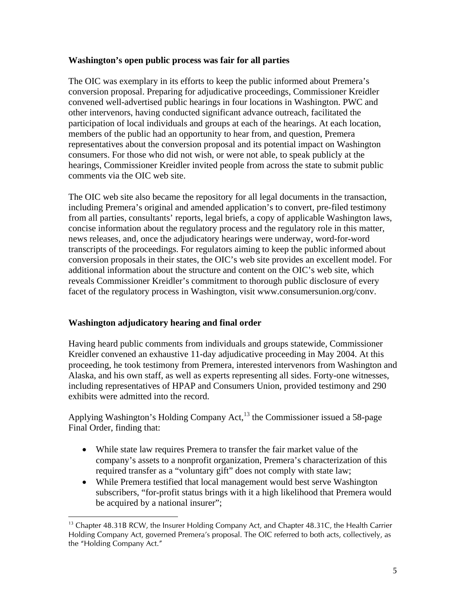## **Washington's open public process was fair for all parties**

The OIC was exemplary in its efforts to keep the public informed about Premera's conversion proposal. Preparing for adjudicative proceedings, Commissioner Kreidler convened well-advertised public hearings in four locations in Washington. PWC and other intervenors, having conducted significant advance outreach, facilitated the participation of local individuals and groups at each of the hearings. At each location, members of the public had an opportunity to hear from, and question, Premera representatives about the conversion proposal and its potential impact on Washington consumers. For those who did not wish, or were not able, to speak publicly at the hearings, Commissioner Kreidler invited people from across the state to submit public comments via the OIC web site.

The OIC web site also became the repository for all legal documents in the transaction, including Premera's original and amended application's to convert, pre-filed testimony from all parties, consultants' reports, legal briefs, a copy of applicable Washington laws, concise information about the regulatory process and the regulatory role in this matter, news releases, and, once the adjudicatory hearings were underway, word-for-word transcripts of the proceedings. For regulators aiming to keep the public informed about conversion proposals in their states, the OIC's web site provides an excellent model. For additional information about the structure and content on the OIC's web site, which reveals Commissioner Kreidler's commitment to thorough public disclosure of every facet of the regulatory process in Washington, visit www.consumersunion.org/conv.

# **Washington adjudicatory hearing and final order**

Having heard public comments from individuals and groups statewide, Commissioner Kreidler convened an exhaustive 11-day adjudicative proceeding in May 2004. At this proceeding, he took testimony from Premera, interested intervenors from Washington and Alaska, and his own staff, as well as experts representing all sides. Forty-one witnesses, including representatives of HPAP and Consumers Union, provided testimony and 290 exhibits were admitted into the record.

Applying Washington's Holding Company Act, $^{13}$  the Commissioner issued a 58-page Final Order, finding that:

- While state law requires Premera to transfer the fair market value of the company's assets to a nonprofit organization, Premera's characterization of this required transfer as a "voluntary gift" does not comply with state law;
- While Premera testified that local management would best serve Washington subscribers, "for-profit status brings with it a high likelihood that Premera would be acquired by a national insurer";

<span id="page-4-0"></span><sup>&</sup>lt;sup>13</sup> Chapter 48.31B RCW, the Insurer Holding Company Act, and Chapter 48.31C, the Health Carrier Holding Company Act, governed Premera's proposal. The OIC referred to both acts, collectively, as the "Holding Company Act."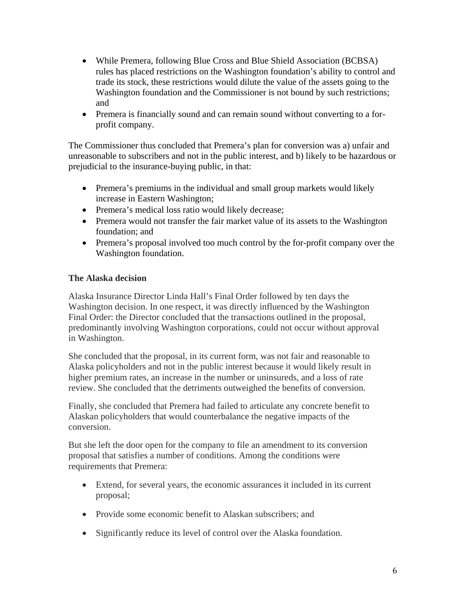- While Premera, following Blue Cross and Blue Shield Association (BCBSA) rules has placed restrictions on the Washington foundation's ability to control and trade its stock, these restrictions would dilute the value of the assets going to the Washington foundation and the Commissioner is not bound by such restrictions; and
- Premera is financially sound and can remain sound without converting to a forprofit company.

The Commissioner thus concluded that Premera's plan for conversion was a) unfair and unreasonable to subscribers and not in the public interest, and b) likely to be hazardous or prejudicial to the insurance-buying public, in that:

- Premera's premiums in the individual and small group markets would likely increase in Eastern Washington;
- Premera's medical loss ratio would likely decrease;
- Premera would not transfer the fair market value of its assets to the Washington foundation; and
- Premera's proposal involved too much control by the for-profit company over the Washington foundation.

# **The Alaska decision**

Alaska Insurance Director Linda Hall's Final Order followed by ten days the Washington decision. In one respect, it was directly influenced by the Washington Final Order: the Director concluded that the transactions outlined in the proposal, predominantly involving Washington corporations, could not occur without approval in Washington.

She concluded that the proposal, in its current form, was not fair and reasonable to Alaska policyholders and not in the public interest because it would likely result in higher premium rates, an increase in the number or uninsureds, and a loss of rate review. She concluded that the detriments outweighed the benefits of conversion.

Finally, she concluded that Premera had failed to articulate any concrete benefit to Alaskan policyholders that would counterbalance the negative impacts of the conversion.

But she left the door open for the company to file an amendment to its conversion proposal that satisfies a number of conditions. Among the conditions were requirements that Premera:

- Extend, for several years, the economic assurances it included in its current proposal;
- Provide some economic benefit to Alaskan subscribers; and
- Significantly reduce its level of control over the Alaska foundation.